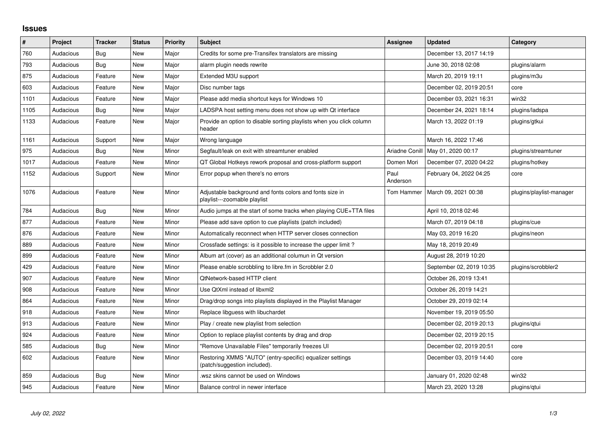## **Issues**

| $\#$ | Project   | <b>Tracker</b> | <b>Status</b> | Priority | <b>Subject</b>                                                                            | <b>Assignee</b>  | <b>Updated</b>           | Category                 |
|------|-----------|----------------|---------------|----------|-------------------------------------------------------------------------------------------|------------------|--------------------------|--------------------------|
| 760  | Audacious | Bug            | New           | Major    | Credits for some pre-Transifex translators are missing                                    |                  | December 13, 2017 14:19  |                          |
| 793  | Audacious | Bug            | New           | Major    | alarm plugin needs rewrite                                                                |                  | June 30, 2018 02:08      | plugins/alarm            |
| 875  | Audacious | Feature        | <b>New</b>    | Major    | Extended M3U support                                                                      |                  | March 20, 2019 19:11     | plugins/m3u              |
| 603  | Audacious | Feature        | <b>New</b>    | Major    | Disc number tags                                                                          |                  | December 02, 2019 20:51  | core                     |
| 1101 | Audacious | Feature        | New           | Major    | Please add media shortcut keys for Windows 10                                             |                  | December 03, 2021 16:31  | win32                    |
| 1105 | Audacious | Bug            | <b>New</b>    | Major    | LADSPA host setting menu does not show up with Qt interface                               |                  | December 24, 2021 18:14  | plugins/ladspa           |
| 1133 | Audacious | Feature        | New           | Major    | Provide an option to disable sorting playlists when you click column<br>header            |                  | March 13, 2022 01:19     | plugins/gtkui            |
| 1161 | Audacious | Support        | <b>New</b>    | Major    | Wrong language                                                                            |                  | March 16, 2022 17:46     |                          |
| 975  | Audacious | <b>Bug</b>     | <b>New</b>    | Minor    | Segfault/leak on exit with streamtuner enabled                                            | Ariadne Conill   | May 01, 2020 00:17       | plugins/streamtuner      |
| 1017 | Audacious | Feature        | New           | Minor    | QT Global Hotkeys rework proposal and cross-platform support                              | Domen Mori       | December 07, 2020 04:22  | plugins/hotkey           |
| 1152 | Audacious | Support        | New           | Minor    | Error popup when there's no errors                                                        | Paul<br>Anderson | February 04, 2022 04:25  | core                     |
| 1076 | Audacious | Feature        | <b>New</b>    | Minor    | Adjustable background and fonts colors and fonts size in<br>playlist---zoomable playlist  | Tom Hammer       | March 09, 2021 00:38     | plugins/playlist-manager |
| 784  | Audacious | Bug            | <b>New</b>    | Minor    | Audio jumps at the start of some tracks when playing CUE+TTA files                        |                  | April 10, 2018 02:46     |                          |
| 877  | Audacious | Feature        | New           | Minor    | Please add save option to cue playlists (patch included)                                  |                  | March 07, 2019 04:18     | plugins/cue              |
| 876  | Audacious | Feature        | New           | Minor    | Automatically reconnect when HTTP server closes connection                                |                  | May 03, 2019 16:20       | plugins/neon             |
| 889  | Audacious | Feature        | <b>New</b>    | Minor    | Crossfade settings: is it possible to increase the upper limit?                           |                  | May 18, 2019 20:49       |                          |
| 899  | Audacious | Feature        | New           | Minor    | Album art (cover) as an additional columun in Qt version                                  |                  | August 28, 2019 10:20    |                          |
| 429  | Audacious | Feature        | <b>New</b>    | Minor    | Please enable scrobbling to libre.fm in Scrobbler 2.0                                     |                  | September 02, 2019 10:35 | plugins/scrobbler2       |
| 907  | Audacious | Feature        | <b>New</b>    | Minor    | <b>QtNetwork-based HTTP client</b>                                                        |                  | October 26, 2019 13:41   |                          |
| 908  | Audacious | Feature        | New           | Minor    | Use QtXml instead of libxml2                                                              |                  | October 26, 2019 14:21   |                          |
| 864  | Audacious | Feature        | New           | Minor    | Drag/drop songs into playlists displayed in the Playlist Manager                          |                  | October 29, 2019 02:14   |                          |
| 918  | Audacious | Feature        | New           | Minor    | Replace libguess with libuchardet                                                         |                  | November 19, 2019 05:50  |                          |
| 913  | Audacious | Feature        | New           | Minor    | Play / create new playlist from selection                                                 |                  | December 02, 2019 20:13  | plugins/gtui             |
| 924  | Audacious | Feature        | New           | Minor    | Option to replace playlist contents by drag and drop                                      |                  | December 02, 2019 20:15  |                          |
| 585  | Audacious | Bug            | New           | Minor    | "Remove Unavailable Files" temporarily freezes UI                                         |                  | December 02, 2019 20:51  | core                     |
| 602  | Audacious | Feature        | New           | Minor    | Restoring XMMS "AUTO" (entry-specific) equalizer settings<br>(patch/suggestion included). |                  | December 03, 2019 14:40  | core                     |
| 859  | Audacious | <b>Bug</b>     | <b>New</b>    | Minor    | wsz skins cannot be used on Windows.                                                      |                  | January 01, 2020 02:48   | win32                    |
| 945  | Audacious | Feature        | <b>New</b>    | Minor    | Balance control in newer interface                                                        |                  | March 23, 2020 13:28     | plugins/gtui             |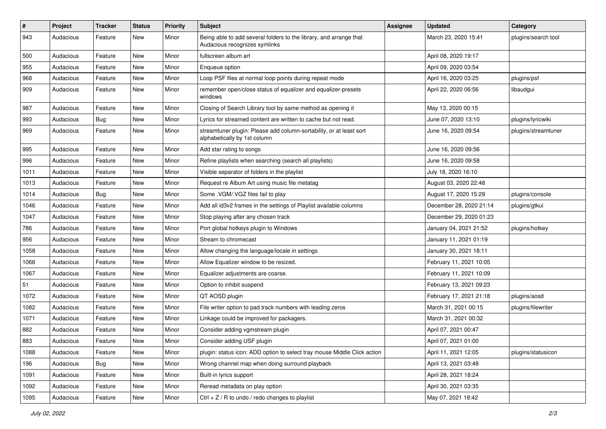| #    | Project   | <b>Tracker</b> | <b>Status</b> | <b>Priority</b> | <b>Subject</b>                                                                                      | <b>Assignee</b> | <b>Updated</b>          | Category            |
|------|-----------|----------------|---------------|-----------------|-----------------------------------------------------------------------------------------------------|-----------------|-------------------------|---------------------|
| 943  | Audacious | Feature        | New           | Minor           | Being able to add several folders to the library, and arrange that<br>Audacious recognizes symlinks |                 | March 23, 2020 15:41    | plugins/search tool |
| 500  | Audacious | Feature        | New           | Minor           | fullscreen album art                                                                                |                 | April 08, 2020 19:17    |                     |
| 955  | Audacious | Feature        | New           | Minor           | Enqueue option                                                                                      |                 | April 09, 2020 03:54    |                     |
| 968  | Audacious | Feature        | New           | Minor           | Loop PSF files at normal loop points during repeat mode                                             |                 | April 16, 2020 03:25    | plugins/psf         |
| 909  | Audacious | Feature        | New           | Minor           | remember open/close status of equalizer and equalizer-presets<br>windows                            |                 | April 22, 2020 06:56    | libaudgui           |
| 987  | Audacious | Feature        | New           | Minor           | Closing of Search Library tool by same method as opening it                                         |                 | May 13, 2020 00:15      |                     |
| 993  | Audacious | <b>Bug</b>     | New           | Minor           | Lyrics for streamed content are written to cache but not read.                                      |                 | June 07, 2020 13:10     | plugins/lyricwiki   |
| 969  | Audacious | Feature        | New           | Minor           | streamtuner plugin: Please add column-sortability, or at least sort<br>alphabetically by 1st column |                 | June 16, 2020 09:54     | plugins/streamtuner |
| 995  | Audacious | Feature        | New           | Minor           | Add star rating to songs                                                                            |                 | June 16, 2020 09:56     |                     |
| 996  | Audacious | Feature        | <b>New</b>    | Minor           | Refine playlists when searching (search all playlists)                                              |                 | June 16, 2020 09:58     |                     |
| 1011 | Audacious | Feature        | New           | Minor           | Visible separator of folders in the playlist                                                        |                 | July 18, 2020 16:10     |                     |
| 1013 | Audacious | Feature        | New           | Minor           | Request re Album Art using music file metatag                                                       |                 | August 03, 2020 22:48   |                     |
| 1014 | Audacious | Bug            | New           | Minor           | Some .VGM/.VGZ files fail to play                                                                   |                 | August 17, 2020 15:29   | plugins/console     |
| 1046 | Audacious | Feature        | New           | Minor           | Add all id3v2 frames in the settings of Playlist available columns                                  |                 | December 28, 2020 21:14 | plugins/gtkui       |
| 1047 | Audacious | Feature        | <b>New</b>    | Minor           | Stop playing after any chosen track                                                                 |                 | December 29, 2020 01:23 |                     |
| 786  | Audacious | Feature        | New           | Minor           | Port global hotkeys plugin to Windows                                                               |                 | January 04, 2021 21:52  | plugins/hotkey      |
| 956  | Audacious | Feature        | New           | Minor           | Stream to chromecast                                                                                |                 | January 11, 2021 01:19  |                     |
| 1058 | Audacious | Feature        | New           | Minor           | Allow changing the language/locale in settings                                                      |                 | January 30, 2021 18:11  |                     |
| 1066 | Audacious | Feature        | New           | Minor           | Allow Equalizer window to be resized.                                                               |                 | February 11, 2021 10:05 |                     |
| 1067 | Audacious | Feature        | <b>New</b>    | Minor           | Equalizer adjustments are coarse.                                                                   |                 | February 11, 2021 10:09 |                     |
| 51   | Audacious | Feature        | New           | Minor           | Option to inhibit suspend                                                                           |                 | February 13, 2021 09:23 |                     |
| 1072 | Audacious | Feature        | New           | Minor           | QT AOSD plugin                                                                                      |                 | February 17, 2021 21:18 | plugins/aosd        |
| 1082 | Audacious | Feature        | New           | Minor           | File writer option to pad track numbers with leading zeros                                          |                 | March 31, 2021 00:15    | plugins/filewriter  |
| 1071 | Audacious | Feature        | New           | Minor           | Linkage could be improved for packagers.                                                            |                 | March 31, 2021 00:32    |                     |
| 882  | Audacious | Feature        | <b>New</b>    | Minor           | Consider adding vgmstream plugin                                                                    |                 | April 07, 2021 00:47    |                     |
| 883  | Audacious | Feature        | New           | Minor           | Consider adding USF plugin                                                                          |                 | April 07, 2021 01:00    |                     |
| 1088 | Audacious | Feature        | New           | Minor           | plugin: status icon: ADD option to select tray mouse Middle Click action                            |                 | April 11, 2021 12:05    | plugins/statusicon  |
| 196  | Audacious | <b>Bug</b>     | New           | Minor           | Wrong channel map when doing surround playback                                                      |                 | April 13, 2021 03:48    |                     |
| 1091 | Audacious | Feature        | New           | Minor           | Built-in lyrics support                                                                             |                 | April 28, 2021 18:24    |                     |
| 1092 | Audacious | Feature        | New           | Minor           | Reread metadata on play option                                                                      |                 | April 30, 2021 03:35    |                     |
| 1095 | Audacious | Feature        | New           | Minor           | Ctrl + $Z$ / R to undo / redo changes to playlist                                                   |                 | May 07, 2021 18:42      |                     |